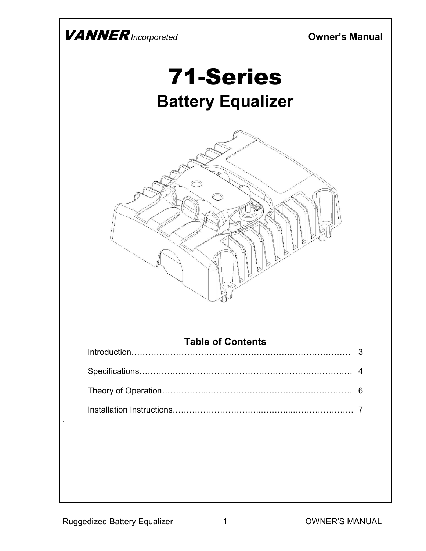

# 71-Series **Battery Equalizer**



### **Table of Contents**

.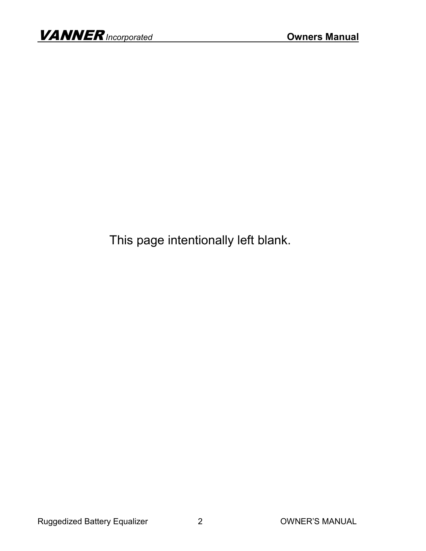This page intentionally left blank.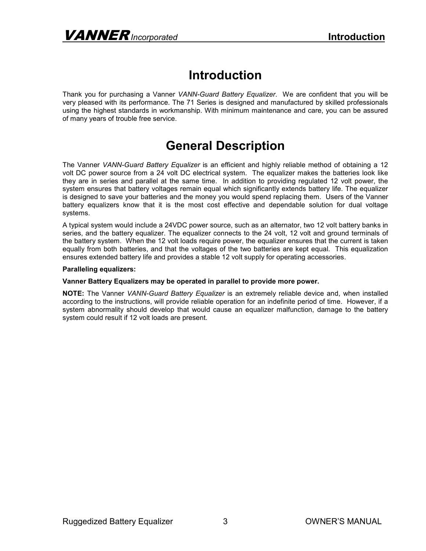# **Introduction**

Thank you for purchasing a Vanner *VANN-Guard Battery Equalizer*. We are confident that you will be very pleased with its performance. The 71 Series is designed and manufactured by skilled professionals using the highest standards in workmanship. With minimum maintenance and care, you can be assured of many years of trouble free service.

# **General Description**

The Vanner *VANN-Guard Battery Equalizer* is an efficient and highly reliable method of obtaining a 12 volt DC power source from a 24 volt DC electrical system. The equalizer makes the batteries look like they are in series and parallel at the same time. In addition to providing regulated 12 volt power, the system ensures that battery voltages remain equal which significantly extends battery life. The equalizer is designed to save your batteries and the money you would spend replacing them. Users of the Vanner battery equalizers know that it is the most cost effective and dependable solution for dual voltage systems.

A typical system would include a 24VDC power source, such as an alternator, two 12 volt battery banks in series, and the battery equalizer. The equalizer connects to the 24 volt, 12 volt and ground terminals of the battery system. When the 12 volt loads require power, the equalizer ensures that the current is taken equally from both batteries, and that the voltages of the two batteries are kept equal. This equalization ensures extended battery life and provides a stable 12 volt supply for operating accessories.

#### **Paralleling equalizers:**

### **Vanner Battery Equalizers may be operated in parallel to provide more power.**

**NOTE:** The Vanner *VANN-Guard Battery Equalizer* is an extremely reliable device and, when installed according to the instructions, will provide reliable operation for an indefinite period of time. However, if a system abnormality should develop that would cause an equalizer malfunction, damage to the battery system could result if 12 volt loads are present.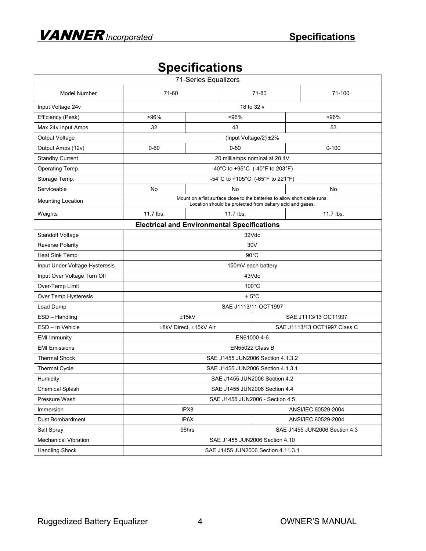

# **Specifications**

| 71-Series Equalizers                               |                                                                                                                                        |                       |           |                      |           |
|----------------------------------------------------|----------------------------------------------------------------------------------------------------------------------------------------|-----------------------|-----------|----------------------|-----------|
| Model Number                                       | 71-60                                                                                                                                  |                       | 71-80     |                      | 71-100    |
| Input Voltage 24v                                  | 18 to 32 v                                                                                                                             |                       |           |                      |           |
| Efficiency (Peak)                                  | >96%                                                                                                                                   | >96%                  |           | >96%                 |           |
| Max 24v Input Amps                                 | 32                                                                                                                                     | 43<br>53              |           |                      |           |
| Output Voltage                                     | (Input Voltage/2) ±2%                                                                                                                  |                       |           |                      |           |
| Output Amps (12v)                                  | $0 - 60$                                                                                                                               | $0 - 80$<br>$0 - 100$ |           |                      |           |
| <b>Standby Current</b>                             | 20 milliamps nominal at 28.4V                                                                                                          |                       |           |                      |           |
| Operating Temp.                                    | -40°C to +95°C (-40°F to 203°F)                                                                                                        |                       |           |                      |           |
| Storage Temp.                                      | -54°C to +105°C (-65°F to 221°F)                                                                                                       |                       |           |                      |           |
| Serviceable                                        | No                                                                                                                                     |                       | No        |                      | No        |
| Mounting Location                                  | Mount on a flat surface close to the batteries to allow short cable runs.<br>Location should be protected from battery acid and gases. |                       |           |                      |           |
| Weights                                            | 11.7 lbs.                                                                                                                              |                       | 11.7 lbs. |                      | 11.7 lbs. |
| <b>Electrical and Environmental Specifications</b> |                                                                                                                                        |                       |           |                      |           |
| <b>Standoff Voltage</b>                            | 32Vdc                                                                                                                                  |                       |           |                      |           |
| <b>Reverse Polarity</b>                            | 30 <sub>V</sub>                                                                                                                        |                       |           |                      |           |
| Heat Sink Temp                                     | $90^{\circ}$ C                                                                                                                         |                       |           |                      |           |
| Input Under Voltage Hysteresis                     | 150mV each battery                                                                                                                     |                       |           |                      |           |
| Input Over Voltage Turn Off                        | 43Vdc                                                                                                                                  |                       |           |                      |           |
| Over-Temp Limit                                    | $100^{\circ}$ C                                                                                                                        |                       |           |                      |           |
| Over Temp Hysteresis                               | $± 5^{\circ}$ C                                                                                                                        |                       |           |                      |           |
| Load Dump                                          | SAE J1113/11 OCT1997                                                                                                                   |                       |           |                      |           |
| ESD - Handling                                     | ±15kV                                                                                                                                  |                       |           | SAE J1113/13 OCT1997 |           |
| ESD - In Vehicle                                   | SAE J1113/13 OCT1997 Class C<br>±8kV Direct, ±15kV Air                                                                                 |                       |           |                      |           |
| <b>EMI Immunity</b>                                | EN61000-4-6                                                                                                                            |                       |           |                      |           |
| <b>EMI Emissions</b>                               | <b>EN55022 Class B</b>                                                                                                                 |                       |           |                      |           |
| <b>Thermal Shock</b>                               | SAE J1455 JUN2006 Section 4.1.3.2                                                                                                      |                       |           |                      |           |
| <b>Thermal Cycle</b>                               | SAE J1455 JUN2006 Section 4.1.3.1                                                                                                      |                       |           |                      |           |
| Humidity                                           | SAE J1455 JUN2006 Section 4.2                                                                                                          |                       |           |                      |           |
| Chemical Splash                                    | SAE J1455 JUN2006 Section 4.4                                                                                                          |                       |           |                      |           |
| Pressure Wash                                      | SAE J1455 JUN2006 - Section 4.5                                                                                                        |                       |           |                      |           |
| Immersion                                          | IPX8                                                                                                                                   |                       |           | ANSI/IEC 60529-2004  |           |
| Dust Bombardment                                   | IP6X                                                                                                                                   |                       |           | ANSI/IEC 60529-2004  |           |
| Salt Spray                                         | 96hrs<br>SAE J1455 JUN2006 Section 4.3                                                                                                 |                       |           |                      |           |
| <b>Mechanical Vibration</b>                        | SAE J1455 JUN2006 Section 4.10                                                                                                         |                       |           |                      |           |
| <b>Handling Shock</b>                              | SAE J1455 JUN2006 Section 4.11.3.1                                                                                                     |                       |           |                      |           |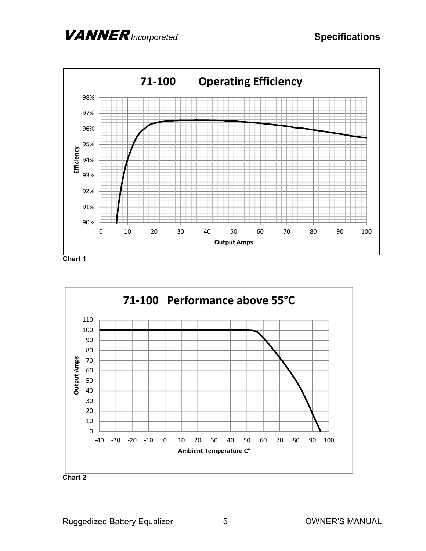

**Chart 1** 



**Chart 2**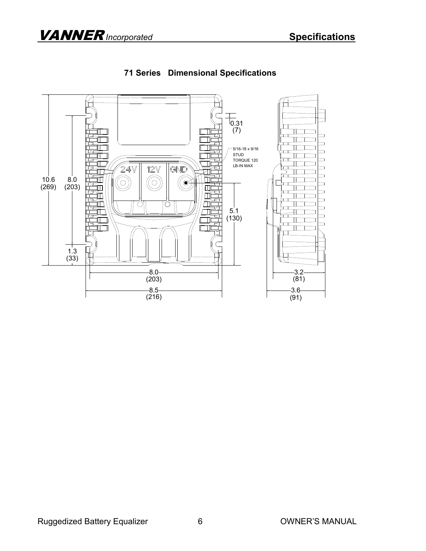

### **71 Series Dimensional Specifications**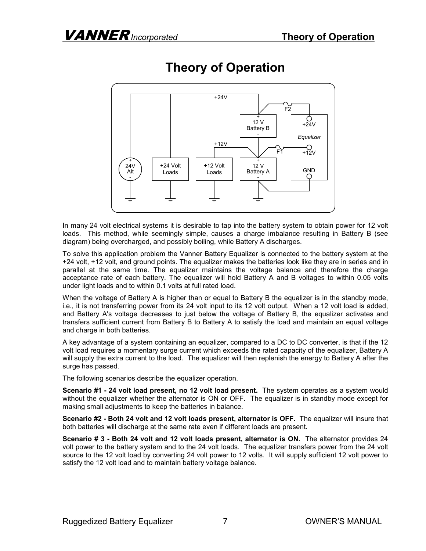

# **Theory of Operation**

In many 24 volt electrical systems it is desirable to tap into the battery system to obtain power for 12 volt loads. This method, while seemingly simple, causes a charge imbalance resulting in Battery B (see diagram) being overcharged, and possibly boiling, while Battery A discharges.

To solve this application problem the Vanner Battery Equalizer is connected to the battery system at the +24 volt, +12 volt, and ground points. The equalizer makes the batteries look like they are in series and in parallel at the same time. The equalizer maintains the voltage balance and therefore the charge acceptance rate of each battery. The equalizer will hold Battery A and B voltages to within 0.05 volts under light loads and to within 0.1 volts at full rated load.

When the voltage of Battery A is higher than or equal to Battery B the equalizer is in the standby mode, i.e., it is not transferring power from its 24 volt input to its 12 volt output. When a 12 volt load is added, and Battery A's voltage decreases to just below the voltage of Battery B, the equalizer activates and transfers sufficient current from Battery B to Battery A to satisfy the load and maintain an equal voltage and charge in both batteries.

A key advantage of a system containing an equalizer, compared to a DC to DC converter, is that if the 12 volt load requires a momentary surge current which exceeds the rated capacity of the equalizer, Battery A will supply the extra current to the load. The equalizer will then replenish the energy to Battery A after the surge has passed.

The following scenarios describe the equalizer operation.

**Scenario #1 - 24 volt load present, no 12 volt load present.** The system operates as a system would without the equalizer whether the alternator is ON or OFF. The equalizer is in standby mode except for making small adjustments to keep the batteries in balance.

**Scenario #2 - Both 24 volt and 12 volt loads present, alternator is OFF.** The equalizer will insure that both batteries will discharge at the same rate even if different loads are present.

**Scenario # 3 - Both 24 volt and 12 volt loads present, alternator is ON.** The alternator provides 24 volt power to the battery system and to the 24 volt loads. The equalizer transfers power from the 24 volt source to the 12 volt load by converting 24 volt power to 12 volts. It will supply sufficient 12 volt power to satisfy the 12 volt load and to maintain battery voltage balance.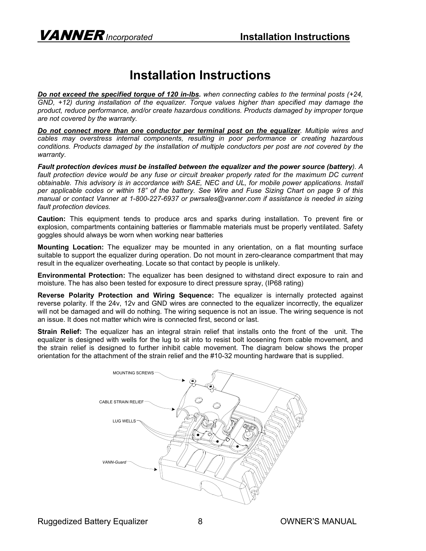# **Installation Instructions**

*Do not exceed the specified torque of 120 in-lbs. when connecting cables to the terminal posts (+24, GND, +12) during installation of the equalizer. Torque values higher than specified may damage the product, reduce performance, and/or create hazardous conditions. Products damaged by improper torque are not covered by the warranty.* 

*Do not connect more than one conductor per terminal post on the equalizer. Multiple wires and cables may overstress internal components, resulting in poor performance or creating hazardous conditions. Products damaged by the installation of multiple conductors per post are not covered by the warranty.* 

*Fault protection devices must be installed between the equalizer and the power source (battery). A fault protection device would be any fuse or circuit breaker properly rated for the maximum DC current obtainable. This advisory is in accordance with SAE, NEC and UL, for mobile power applications. Install per applicable codes or within 18" of the battery. See Wire and Fuse Sizing Chart on page 9 of this manual or contact Vanner at 1-800-227-6937 or pwrsales@vanner.com if assistance is needed in sizing fault protection devices.* 

**Caution:** This equipment tends to produce arcs and sparks during installation. To prevent fire or explosion, compartments containing batteries or flammable materials must be properly ventilated. Safety goggles should always be worn when working near batteries

**Mounting Location:** The equalizer may be mounted in any orientation, on a flat mounting surface suitable to support the equalizer during operation. Do not mount in zero-clearance compartment that may result in the equalizer overheating. Locate so that contact by people is unlikely.

**Environmental Protection:** The equalizer has been designed to withstand direct exposure to rain and moisture. The has also been tested for exposure to direct pressure spray, (IP68 rating)

**Reverse Polarity Protection and Wiring Sequence:** The equalizer is internally protected against reverse polarity. If the 24v, 12v and GND wires are connected to the equalizer incorrectly, the equalizer will not be damaged and will do nothing. The wiring sequence is not an issue. The wiring sequence is not an issue. It does not matter which wire is connected first, second or last.

**Strain Relief:** The equalizer has an integral strain relief that installs onto the front of the unit. The equalizer is designed with wells for the lug to sit into to resist bolt loosening from cable movement, and the strain relief is designed to further inhibit cable movement. The diagram below shows the proper orientation for the attachment of the strain relief and the #10-32 mounting hardware that is supplied.

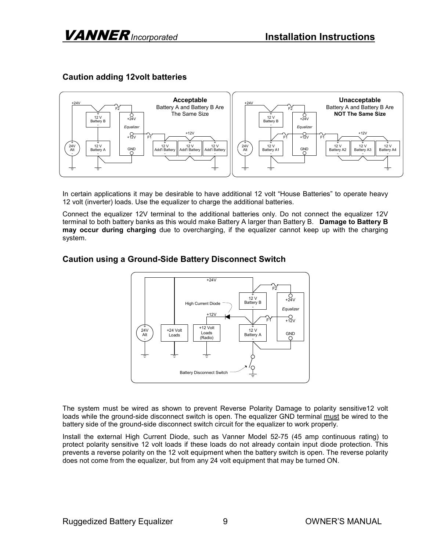

### **Caution adding 12volt batteries**

In certain applications it may be desirable to have additional 12 volt "House Batteries" to operate heavy 12 volt (inverter) loads. Use the equalizer to charge the additional batteries.

Connect the equalizer 12V terminal to the additional batteries only. Do not connect the equalizer 12V terminal to both battery banks as this would make Battery A larger than Battery B. **Damage to Battery B may occur during charging** due to overcharging, if the equalizer cannot keep up with the charging system.



### **Caution using a Ground-Side Battery Disconnect Switch**

The system must be wired as shown to prevent Reverse Polarity Damage to polarity sensitive12 volt loads while the ground-side disconnect switch is open. The equalizer GND terminal must be wired to the battery side of the ground-side disconnect switch circuit for the equalizer to work properly.

Install the external High Current Diode, such as Vanner Model 52-75 (45 amp continuous rating) to protect polarity sensitive 12 volt loads if these loads do not already contain input diode protection. This prevents a reverse polarity on the 12 volt equipment when the battery switch is open. The reverse polarity does not come from the equalizer*,* but from any 24 volt equipment that may be turned ON.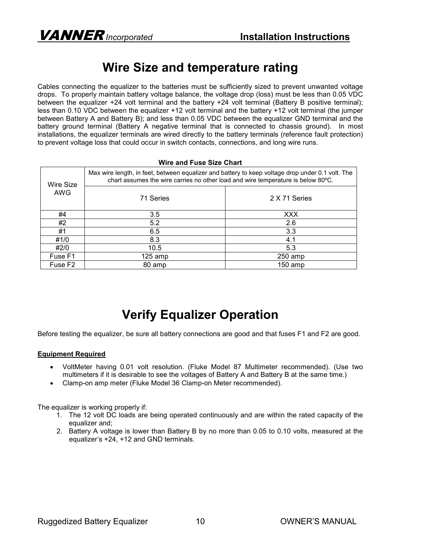# **Wire Size and temperature rating**

Cables connecting the equalizer to the batteries must be sufficiently sized to prevent unwanted voltage drops. To properly maintain battery voltage balance, the voltage drop (loss) must be less than 0.05 VDC between the equalizer +24 volt terminal and the battery +24 volt terminal (Battery B positive terminal); less than 0.10 VDC between the equalizer +12 volt terminal and the battery +12 volt terminal (the jumper between Battery A and Battery B); and less than 0.05 VDC between the equalizer GND terminal and the battery ground terminal (Battery A negative terminal that is connected to chassis ground). In most installations, the equalizer terminals are wired directly to the battery terminals (reference fault protection) to prevent voltage loss that could occur in switch contacts, connections, and long wire runs.

| <u>WILC AIN LUSC UILC UILIU</u> |                                                                                                                                                                                      |               |  |  |  |
|---------------------------------|--------------------------------------------------------------------------------------------------------------------------------------------------------------------------------------|---------------|--|--|--|
| Wire Size                       | Max wire length, in feet, between equalizer and battery to keep voltage drop under 0.1 volt. The<br>chart assumes the wire carries no other load and wire temperature is below 80°C. |               |  |  |  |
| <b>AWG</b>                      | 71 Series                                                                                                                                                                            | 2 X 71 Series |  |  |  |
| #4                              | 3.5                                                                                                                                                                                  | <b>XXX</b>    |  |  |  |
| #2                              | 5.2                                                                                                                                                                                  | 2.6           |  |  |  |
| #1                              | 6.5                                                                                                                                                                                  | 3.3           |  |  |  |
| #1/0                            | 8.3                                                                                                                                                                                  | 4.1           |  |  |  |
| #2/0                            | 10.5                                                                                                                                                                                 | 5.3           |  |  |  |
| Fuse F1                         | $125$ amp                                                                                                                                                                            | $250$ amp     |  |  |  |
| Fuse F <sub>2</sub>             | 80 amp                                                                                                                                                                               | 150 amp       |  |  |  |

#### **Wire and Fuse Size Chart**

# **Verify Equalizer Operation**

Before testing the equalizer, be sure all battery connections are good and that fuses F1 and F2 are good.

### **Equipment Required**

- VoltMeter having 0.01 volt resolution. (Fluke Model 87 Multimeter recommended). (Use two multimeters if it is desirable to see the voltages of Battery A and Battery B at the same time.)
- Clamp-on amp meter (Fluke Model 36 Clamp-on Meter recommended).

The equalizer is working properly if:

- 1. The 12 volt DC loads are being operated continuously and are within the rated capacity of the equalizer and;
- 2. Battery A voltage is lower than Battery B by no more than 0.05 to 0.10 volts, measured at the equalizer's +24, +12 and GND terminals.